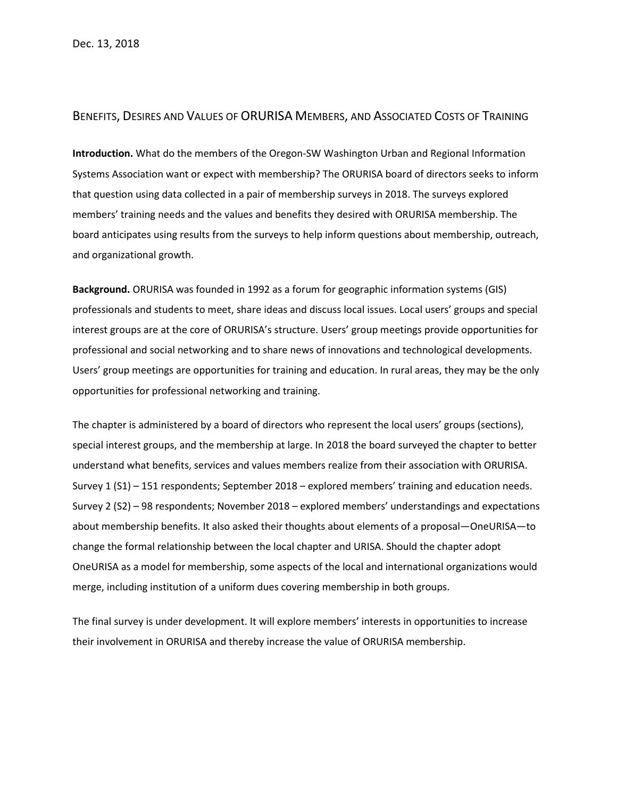## BENEFITS, DESIRES AND VALUES OF ORURISA MEMBERS, AND ASSOCIATED COSTS OF TRAINING

**Introduction.** What do the members of the Oregon-SW Washington Urban and Regional Information Systems Association want or expect with membership? The ORURISA board of directors seeks to inform that question using data collected in a pair of membership surveys in 2018. The surveys explored members' training needs and the values and benefits they desired with ORURISA membership. The board anticipates using results from the surveys to help inform questions about membership, outreach, and organizational growth.

**Background.** ORURISA was founded in 1992 as a forum for geographic information systems (GIS) professionals and students to meet, share ideas and discuss local issues. Local users' groups and special interest groups are at the core of ORURISA's structure. Users' group meetings provide opportunities for professional and social networking and to share news of innovations and technological developments. Users' group meetings are opportunities for training and education. In rural areas, they may be the only opportunities for professional networking and training.

The chapter is administered by a board of directors who represent the local users' groups (sections), special interest groups, and the membership at large. In 2018 the board surveyed the chapter to better understand what benefits, services and values members realize from their association with ORURISA. Survey 1 (S1) – 151 respondents; September 2018 – explored members' training and education needs. Survey 2 (S2) – 98 respondents; November 2018 – explored members' understandings and expectations about membership benefits. It also asked their thoughts about elements of a proposal—OneURISA—to change the formal relationship between the local chapter and URISA. Should the chapter adopt OneURISA as a model for membership, some aspects of the local and international organizations would merge, including institution of a uniform dues covering membership in both groups.

The final survey is under development. It will explore members' interests in opportunities to increase their involvement in ORURISA and thereby increase the value of ORURISA membership.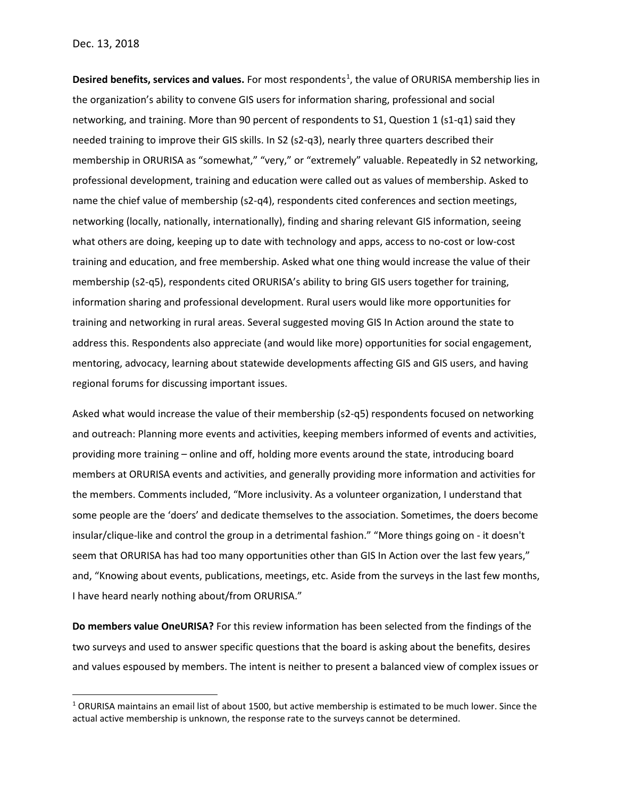**Desired benefits, services and values.** For most respondents<sup>[1](#page-1-0)</sup>, the value of ORURISA membership lies in the organization's ability to convene GIS users for information sharing, professional and social networking, and training. More than 90 percent of respondents to S1, Question 1 (s1-q1) said they needed training to improve their GIS skills. In S2 (s2-q3), nearly three quarters described their membership in ORURISA as "somewhat," "very," or "extremely" valuable. Repeatedly in S2 networking, professional development, training and education were called out as values of membership. Asked to name the chief value of membership (s2-q4), respondents cited conferences and section meetings, networking (locally, nationally, internationally), finding and sharing relevant GIS information, seeing what others are doing, keeping up to date with technology and apps, access to no-cost or low-cost training and education, and free membership. Asked what one thing would increase the value of their membership (s2-q5), respondents cited ORURISA's ability to bring GIS users together for training, information sharing and professional development. Rural users would like more opportunities for training and networking in rural areas. Several suggested moving GIS In Action around the state to address this. Respondents also appreciate (and would like more) opportunities for social engagement, mentoring, advocacy, learning about statewide developments affecting GIS and GIS users, and having regional forums for discussing important issues.

Asked what would increase the value of their membership (s2-q5) respondents focused on networking and outreach: Planning more events and activities, keeping members informed of events and activities, providing more training – online and off, holding more events around the state, introducing board members at ORURISA events and activities, and generally providing more information and activities for the members. Comments included, "More inclusivity. As a volunteer organization, I understand that some people are the 'doers' and dedicate themselves to the association. Sometimes, the doers become insular/clique-like and control the group in a detrimental fashion." "More things going on - it doesn't seem that ORURISA has had too many opportunities other than GIS In Action over the last few years," and, "Knowing about events, publications, meetings, etc. Aside from the surveys in the last few months, I have heard nearly nothing about/from ORURISA."

**Do members value OneURISA?** For this review information has been selected from the findings of the two surveys and used to answer specific questions that the board is asking about the benefits, desires and values espoused by members. The intent is neither to present a balanced view of complex issues or

<span id="page-1-0"></span> <sup>1</sup> ORURISA maintains an email list of about 1500, but active membership is estimated to be much lower. Since the actual active membership is unknown, the response rate to the surveys cannot be determined.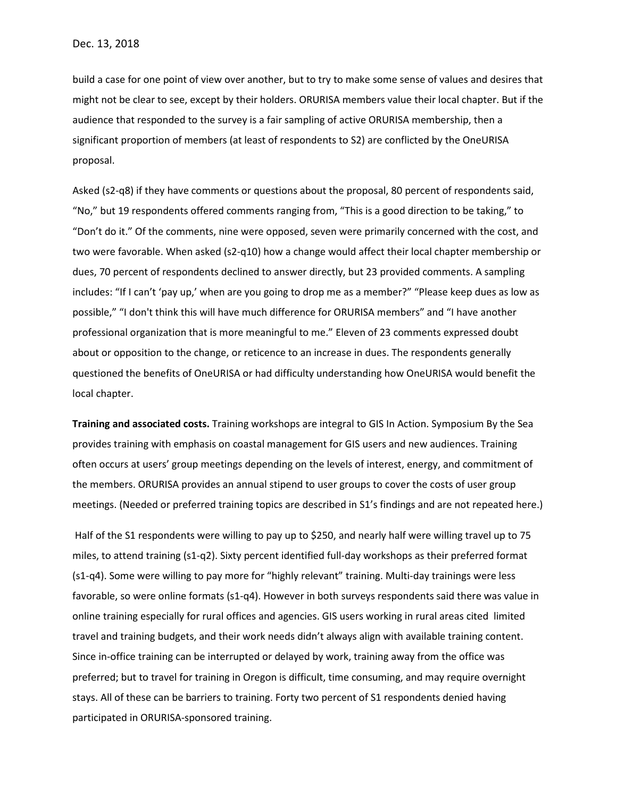build a case for one point of view over another, but to try to make some sense of values and desires that might not be clear to see, except by their holders. ORURISA members value their local chapter. But if the audience that responded to the survey is a fair sampling of active ORURISA membership, then a significant proportion of members (at least of respondents to S2) are conflicted by the OneURISA proposal.

Asked (s2-q8) if they have comments or questions about the proposal, 80 percent of respondents said, "No," but 19 respondents offered comments ranging from, "This is a good direction to be taking," to "Don't do it." Of the comments, nine were opposed, seven were primarily concerned with the cost, and two were favorable. When asked (s2-q10) how a change would affect their local chapter membership or dues, 70 percent of respondents declined to answer directly, but 23 provided comments. A sampling includes: "If I can't 'pay up,' when are you going to drop me as a member?" "Please keep dues as low as possible," "I don't think this will have much difference for ORURISA members" and "I have another professional organization that is more meaningful to me." Eleven of 23 comments expressed doubt about or opposition to the change, or reticence to an increase in dues. The respondents generally questioned the benefits of OneURISA or had difficulty understanding how OneURISA would benefit the local chapter.

**Training and associated costs.** Training workshops are integral to GIS In Action. Symposium By the Sea provides training with emphasis on coastal management for GIS users and new audiences. Training often occurs at users' group meetings depending on the levels of interest, energy, and commitment of the members. ORURISA provides an annual stipend to user groups to cover the costs of user group meetings. (Needed or preferred training topics are described in S1's findings and are not repeated here.)

Half of the S1 respondents were willing to pay up to \$250, and nearly half were willing travel up to 75 miles, to attend training (s1-q2). Sixty percent identified full-day workshops as their preferred format (s1-q4). Some were willing to pay more for "highly relevant" training. Multi-day trainings were less favorable, so were online formats (s1-q4). However in both surveys respondents said there was value in online training especially for rural offices and agencies. GIS users working in rural areas cited limited travel and training budgets, and their work needs didn't always align with available training content. Since in-office training can be interrupted or delayed by work, training away from the office was preferred; but to travel for training in Oregon is difficult, time consuming, and may require overnight stays. All of these can be barriers to training. Forty two percent of S1 respondents denied having participated in ORURISA-sponsored training.